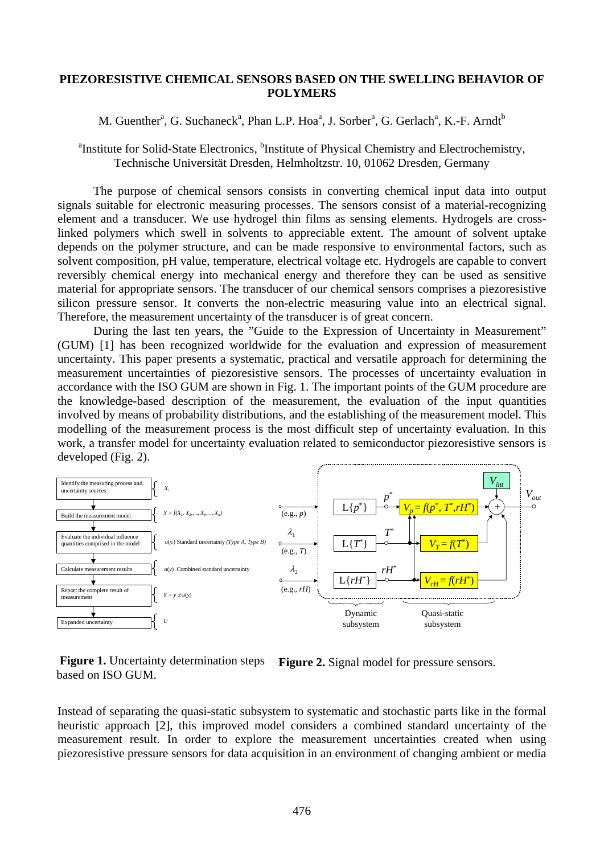## **PIEZORESISTIVE CHEMICAL SENSORS BASED ON THE SWELLING BEHAVIOR OF POLYMERS**

## M. Guenther<sup>a</sup>, G. Suchaneck<sup>a</sup>, Phan L.P. Hoa<sup>a</sup>, J. Sorber<sup>a</sup>, G. Gerlach<sup>a</sup>, K.-F. Arndt<sup>b</sup>

<sup>a</sup>Institute for Solid-State Electronics, <sup>b</sup>Institute of Physical Chemistry and Electrochemistry, Technische Universität Dresden, Helmholtzstr. 10, 01062 Dresden, Germany

The purpose of chemical sensors consists in converting chemical input data into output signals suitable for electronic measuring processes. The sensors consist of a material-recognizing element and a transducer. We use hydrogel thin films as sensing elements. Hydrogels are crosslinked polymers which swell in solvents to appreciable extent. The amount of solvent uptake depends on the polymer structure, and can be made responsive to environmental factors, such as solvent composition, pH value, temperature, electrical voltage etc. Hydrogels are capable to convert reversibly chemical energy into mechanical energy and therefore they can be used as sensitive material for appropriate sensors. The transducer of our chemical sensors comprises a piezoresistive silicon pressure sensor. It converts the non-electric measuring value into an electrical signal. Therefore, the measurement uncertainty of the transducer is of great concern.

During the last ten years, the "Guide to the Expression of Uncertainty in Measurement" (GUM) [1] has been recognized worldwide for the evaluation and expression of measurement uncertainty. This paper presents a systematic, practical and versatile approach for determining the measurement uncertainties of piezoresistive sensors. The processes of uncertainty evaluation in accordance with the ISO GUM are shown in Fig. 1. The important points of the GUM procedure are the knowledge-based description of the measurement, the evaluation of the input quantities involved by means of probability distributions, and the establishing of the measurement model. This modelling of the measurement process is the most difficult step of uncertainty evaluation. In this work, a transfer model for uncertainty evaluation related to semiconductor piezoresistive sensors is developed (Fig. 2).



**Figure 1.** Uncertainty determination steps based on ISO GUM.

**Figure 2.** Signal model for pressure sensors.

Instead of separating the quasi-static subsystem to systematic and stochastic parts like in the formal heuristic approach [2], this improved model considers a combined standard uncertainty of the measurement result. In order to explore the measurement uncertainties created when using piezoresistive pressure sensors for data acquisition in an environment of changing ambient or media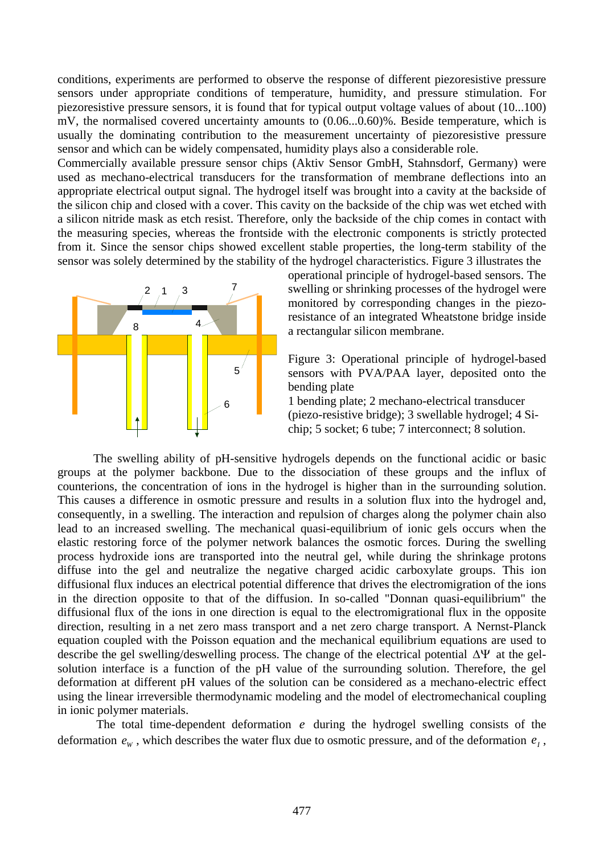conditions, experiments are performed to observe the response of different piezoresistive pressure sensors under appropriate conditions of temperature, humidity, and pressure stimulation. For piezoresistive pressure sensors, it is found that for typical output voltage values of about (10...100) mV, the normalised covered uncertainty amounts to (0.06...0.60)%. Beside temperature, which is usually the dominating contribution to the measurement uncertainty of piezoresistive pressure sensor and which can be widely compensated, humidity plays also a considerable role.

Commercially available pressure sensor chips (Aktiv Sensor GmbH, Stahnsdorf, Germany) were used as mechano-electrical transducers for the transformation of membrane deflections into an appropriate electrical output signal. The hydrogel itself was brought into a cavity at the backside of the silicon chip and closed with a cover. This cavity on the backside of the chip was wet etched with a silicon nitride mask as etch resist. Therefore, only the backside of the chip comes in contact with the measuring species, whereas the frontside with the electronic components is strictly protected from it. Since the sensor chips showed excellent stable properties, the long-term stability of the sensor was solely determined by the stability of the hydrogel characteristics. Figure 3 illustrates the



operational principle of hydrogel-based sensors. The swelling or shrinking processes of the hydrogel were monitored by corresponding changes in the piezoresistance of an integrated Wheatstone bridge inside a rectangular silicon membrane.

Figure 3: Operational principle of hydrogel-based sensors with PVA/PAA layer, deposited onto the bending plate

1 bending plate; 2 mechano-electrical transducer (piezo-resistive bridge); 3 swellable hydrogel; 4 Sichip; 5 socket; 6 tube; 7 interconnect; 8 solution.

The swelling ability of pH-sensitive hydrogels depends on the functional acidic or basic groups at the polymer backbone. Due to the dissociation of these groups and the influx of counterions, the concentration of ions in the hydrogel is higher than in the surrounding solution. This causes a difference in osmotic pressure and results in a solution flux into the hydrogel and, consequently, in a swelling. The interaction and repulsion of charges along the polymer chain also lead to an increased swelling. The mechanical quasi-equilibrium of ionic gels occurs when the elastic restoring force of the polymer network balances the osmotic forces. During the swelling process hydroxide ions are transported into the neutral gel, while during the shrinkage protons diffuse into the gel and neutralize the negative charged acidic carboxylate groups. This ion diffusional flux induces an electrical potential difference that drives the electromigration of the ions in the direction opposite to that of the diffusion. In so-called "Donnan quasi-equilibrium" the diffusional flux of the ions in one direction is equal to the electromigrational flux in the opposite direction, resulting in a net zero mass transport and a net zero charge transport. A Nernst-Planck equation coupled with the Poisson equation and the mechanical equilibrium equations are used to describe the gel swelling/deswelling process. The change of the electrical potential  $\Delta \Psi$  at the gelsolution interface is a function of the pH value of the surrounding solution. Therefore, the gel deformation at different pH values of the solution can be considered as a mechano-electric effect using the linear irreversible thermodynamic modeling and the model of electromechanical coupling in ionic polymer materials.

The total time-dependent deformation  $e$  during the hydrogel swelling consists of the deformation  $e_w$ , which describes the water flux due to osmotic pressure, and of the deformation  $e_1$ ,